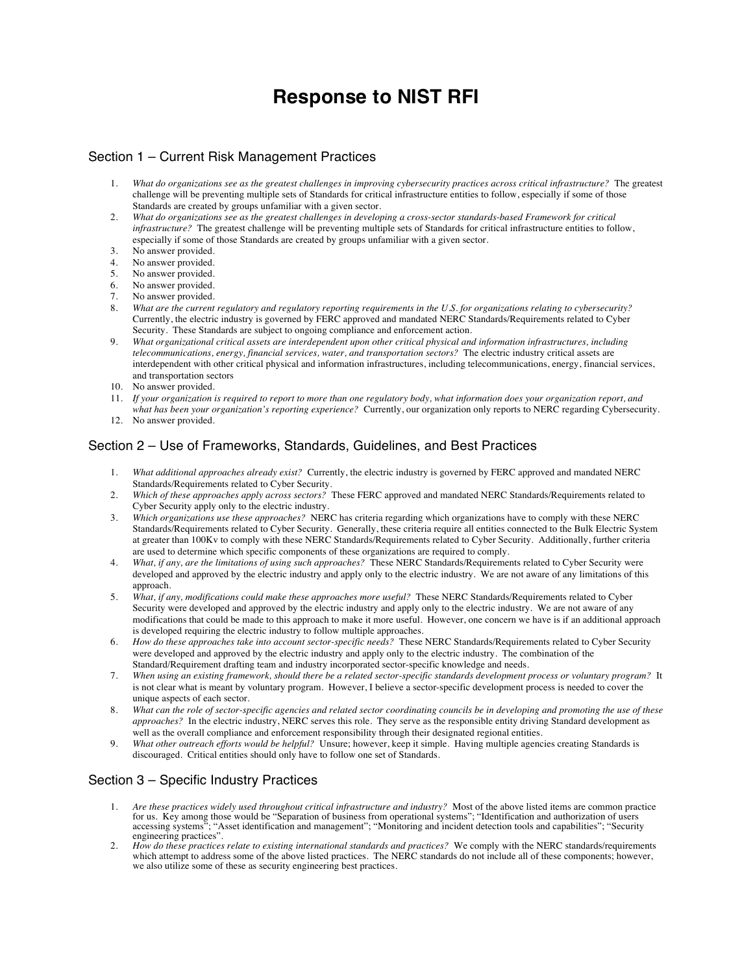## **Response to NIST RFI**

## Section 1 – Current Risk Management Practices

- 1. *What do organizations see as the greatest challenges in improving cybersecurity practices across critical infrastructure?* The greatest challenge will be preventing multiple sets of Standards for critical infrastructure entities to follow, especially if some of those Standards are created by groups unfamiliar with a given sector.
- 2. *What do organizations see as the greatest challenges in developing a cross-sector standards-based Framework for critical infrastructure?* The greatest challenge will be preventing multiple sets of Standards for critical infrastructure entities to follow, especially if some of those Standards are created by groups unfamiliar with a given sector.
- 3. No answer provided.
- 4. No answer provided.
- 5. No answer provided.
- 6. No answer provided.
- 7. No answer provided.
- 8. *What are the current regulatory and regulatory reporting requirements in the U.S. for organizations relating to cybersecurity?* Currently, the electric industry is governed by FERC approved and mandated NERC Standards/Requirements related to Cyber Security. These Standards are subject to ongoing compliance and enforcement action.
- 9. *What organizational critical assets are interdependent upon other critical physical and information infrastructures, including telecommunications, energy, financial services, water, and transportation sectors?* The electric industry critical assets are interdependent with other critical physical and information infrastructures, including telecommunications, energy, financial services, and transportation sectors
- 10. No answer provided.
- 11. *If your organization is required to report to more than one regulatory body, what information does your organization report, and*
- *what has been your organization's reporting experience?* Currently, our organization only reports to NERC regarding Cybersecurity. 12. No answer provided.

## Section 2 – Use of Frameworks, Standards, Guidelines, and Best Practices

- 1. What additional approaches already exist? Currently, the electric industry is governed by FERC approved and mandated NERC Standards/Requirements related to Cyber Security.
- 2. Which of these approaches apply across sectors? These FERC approved and mandated NERC Standards/Requirements related to Cyber Security apply only to the electric industry.
- 3. *Which organizations use these approaches?* NERC has criteria regarding which organizations have to comply with these NERC Standards/Requirements related to Cyber Security. Generally, these criteria require all entities connected to the Bulk Electric System at greater than 100Kv to comply with these NERC Standards/Requirements related to Cyber Security. Additionally, further criteria are used to determine which specific components of these organizations are required to comply.
- 4. *What, if any, are the limitations of using such approaches?* These NERC Standards/Requirements related to Cyber Security were developed and approved by the electric industry and apply only to the electric industry. We are not aware of any limitations of this approach.
- 5. What, if any, modifications could make these approaches more useful? These NERC Standards/Requirements related to Cyber Security were developed and approved by the electric industry and apply only to the electric industry. We are not aware of any modifications that could be made to this approach to make it more useful. However, one concern we have is if an additional approach is developed requiring the electric industry to follow multiple approaches.
- 6. How do these approaches take into account sector-specific needs? These NERC Standards/Requirements related to Cyber Security were developed and approved by the electric industry and apply only to the electric industry. The combination of the Standard/Requirement drafting team and industry incorporated sector-specific knowledge and needs.
- 7. *When using an existing framework, should there be a related sector-specific standards development process or voluntary program?* It is not clear what is meant by voluntary program. However, I believe a sector-specific development process is needed to cover the unique aspects of each sector.
- 8. What can the role of sector-specific agencies and related sector coordinating councils be in developing and promoting the use of these *approaches?* In the electric industry, NERC serves this role. They serve as the responsible entity driving Standard development as well as the overall compliance and enforcement responsibility through their designated regional entities.
- 9. What other outreach efforts would be helpful? Unsure; however, keep it simple. Having multiple agencies creating Standards is discouraged. Critical entities should only have to follow one set of Standards.

## Section 3 – Specific Industry Practices

- 1. Are these practices widely used throughout critical infrastructure and industry? Most of the above listed items are common practice accessing systems"; "Asset identification and management"; "Monitoring and incident detection tools and capabilities"; "Security for us. Key among those would be "Separation of business from operational systems"; "Identification and authorization of users engineering practices".
- 2. How do these practices relate to existing international standards and practices? We comply with the NERC standards/requirements which attempt to address some of the above listed practices. The NERC standards do not include all of these components; however, we also utilize some of these as security engineering best practices.